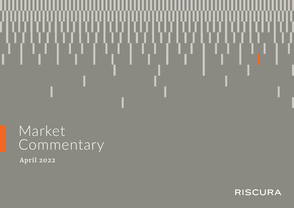# Market<sub></sub> Commentary

**April 2022**

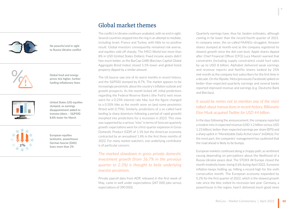

No peaceful end in sight to Russia-Ukraine conflict



Global food and energy prices tick higher, further fuelling inflationary fears



United States (US) equities slumped, as earnings disappointment added to investor jitters – S&P500 8.8% lower for March



European equities lacklustre, powerhouse German bourse (DAX) loses more than 2% **2%**

# Global market themes

The conflict in Ukraine continues unabated, with no end in sight. Several countries stepped into the ring in an attempt to mediate, including Israel, France and Turkey, with little to no positive result. Global investors consequently remained risk-averse, and equities sold off sharply. The MSCI World lost more than 8% in USD (United States Dollars). Fixed income assets didn't fare much better, as the BarCap GABI (Barclays Capital Global Aggregate Bond Index) closed 5.5% lower and global listed property dipped by a similar amount.

The US bourse saw one of its worst months in recent history, and the S&P500 slumped by 8.7%. The market appears to be increasingly pessimistic about the country's inflation outlook and growth prospects. As the month kicked off, initial predictions regarding the Federal Reserve Bank's (the Fed's) next move were for a 0.25% interest rate hike, but the figure changed to a 0.50% hike as the month wore on (and some pessimists flirted with 0.75%). Similarly, predictions of a so-called hard landing (a sharp downturn following a period of rapid growth) morphed into predictions for a recession in 2023. This view was supported by a serious "miss" in terms of forecast quarterly growth: expectations were for a first-quarter expansion in Gross Domestic Product (GDP) of 1.1% but the American economy contracted by an annualised 1.4% in the first three months of 2022. For many market watchers, one underlying contributor is of particular concern.

# *The marked slowdown in gross private domestic investment growth (from 36.7% in the previous quarter to 2.3%) is thought to belie underlying investor pessimism.*

Private payroll data from ADP, released in the first week of May, came in well under expectations (247 000 jobs versus expectations of 390 000).

Quarterly earnings have, thus far, beaten estimates, although coming in far lower than the record fourth quarter of 2021. In company news, the so-called FAANGs struggled. Amazon shares slumped at month-end as the company registered its slowest growth since the dot-com bust; Apple shares dipped after Chief Financial Officer (CFO) Luca Maestri warned that constraints (including supply constraints) could hurt sales by up to USD 8 billion; Alphabet delivered weak earnings and revenue reports and Netflix shares tanked by 25% mid-month as the company lost subscribers for the first time in a decade. On the flipside, Meta (previously Facebook) spiked on better-than-expected quarterly earnings and several banks reported improved revenue and earnings (e.g. Deutsche Bank and Barclays).

# *It would be remiss not to mention one of the most talked-about transactions in recent history. Billionaire Elon Musk acquired Twitter for USD 44 billion.*

In the days following the announcement, the company reported a modest miss in expected revenue (USD 1.2 billion versus USD 1.23 billion), better-than-expected earnings per share (EPS) and a sharp uptick in "Monetizable Daily Active Users" (mDAUs). For the most part, the companies' management has cautioned that the road ahead is likely to be bumpy.

European markets continued along a choppy path, as sentiment swung depending on perceptions about the likelihood of a Russia-Ukraine peace deal. The STOXX All Europe closed the month modestly lower, losing 0.6% during April 2022. Eurozone inflation keeps hotting up, hitting a record high for the sixth consecutive month. The European economy expanded by 0.2% for the first quarter of 2022, which is the slowest growth rate since the bloc exited its recession last year. Germany, a powerhouse in the region, hasn't delivered much good news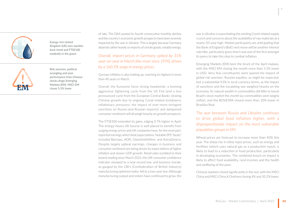

Energy-rich United Kingdom (UK) sees equities buck trend and FTSE100 modestly in the green



Risk aversion, political wrangling and poor performance from Chinese stocks drags Emerging Markets (EM). MSCI EM **EM** closes 5.5% lower

of late. The DAX posted its fourth consecutive monthly decline and the country's economic growth prospects have been severely impacted by the war in Ukraine. This is largely because Germany depends rather heavily on imports of certain goods, notably energy.

# *Overall, import prices in Germany spiked by 31% year-on-year in March (the most since 1974), driven by a 160.5% surge in energy prices.*

German inflation is also hotting up, reaching its highest in more than 40 years in March.

Overall, the Eurozone faces strong headwinds: a looming aggressive tightening cycle from the US Fed (and a less pronounced cycle from the European Central Bank); slowing Chinese growth due to ongoing Covid-related lockdowns; inflationary pressures; the impact of ever-more-stringent sanctions on Russia (and Russian imports); and dampened consumer sentiment will all weigh heavily on growth prospects.

The FTSE100 extended its gains, edging 0.7% higher in April. The energy-heavy UK bourse is well placed to benefit from surging energy prices and UK companies have, for the most part, reported earnings which beat expectations. Notable EPS "beats" included Barclays, AON, GlaxoSmithKline, and AstraZeneca. Despite largely upbeat earnings, changes in business and consumer sentiment are being driven by expectations of higher inflation and slower GDP growth. Retail sales tumbled to their lowest reading since March 2021; the GfK consumer confidence indicator slumped to a near-record low; and business morale, as gauged by the CBI's (Confederation of British Industry) manufacturing optimism index, fell to a two-year low. Although manufacturing output and orders have continued to grow, the

war in Ukraine is exacerbating the existing Covid-related supply crunch and concerns about the availability of raw materials at a nearly-50-year high. Market participants are anticipating that the Bank of England's (BoE) next move will be another interest rate hike, particularly given that it was one of the first amongst its peers to take this step to combat inflation.

Emerging Markets (EM) bore the brunt of the April malaise, with the MSCI EM closing the month more than 5.5% lower in USD. Very few constituents were spared the impact of global risk aversion. Russian equities, as might be expected, lost a substantial 9.5% in local currency terms, as the impact of sanctions and the escalating war weighed heavily on the economy. Its natural wealth in commodities did little to boost Brazil's stock market this month (as commodities were largely softer), and the BOVESPA closed more than 10% lower in Brazilian Real.

*The war between Russia and Ukraine continues to drive global food inflation higher, with a disproportionate impact on the most vulnerable population groups in EM.* 

Wheat prices are forecast to increase more than 40% this year. The sharp rise in other input prices, such as energy and fertiliser (which uses natural gas as a production input), is likely to lead to a reduction in food production, particularly in developing economies. The combined knock-on impact is likely to affect food availability, rural incomes and the health and wellbeing of the poor.

Chinese markets closed significantly in the red, with the MSCI China and MSCI China A Onshore closing 4% and 10.2% lower.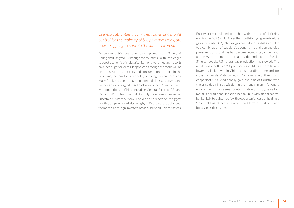# *Chinese authorities, having kept Covid under tight control for the majority of the past two years, are now struggling to contain the latest outbreak.*

Draconian restrictions have been implemented in Shanghai, Beijing and Hangzhou. Although the country's Politburo pledged to boost economic stimulus after its month-end meeting, reports have been light on detail. It appears as though the focus will be on infrastructure, tax cuts and consumption support. In the meantime, the zero-tolerance policy is costing the country dearly. Many foreign residents have left affected cities and towns, and factories have struggled to get back up to speed. Manufacturers with operations in China, including General Electric (GE) and Mercedes Benz, have warned of supply chain disruptions and an uncertain business outlook. The Yuan also recorded its biggest monthly drop on record, declining by 4.2% against the dollar over the month, as foreign investors broadly shunned Chinese assets.

Energy prices continued to run hot, with the price of oil ticking up a further 2.3% in USD over the month (bringing year-to-date gains to nearly 38%). Natural gas posted substantial gains, due to a combination of supply-side constraints and demand-side pressure. US natural gas has become increasingly in demand, as the West attempts to break its dependence on Russia. Simultaneously, US natural gas production has slowed. The result was a hefty 26.9% price increase. Metals were largely lower, as lockdowns in China caused a dip in demand for industrial metals. Platinum was 4.7% lower at month-end and copper lost 5.7%. Additionally, gold lost some of its lustre, with the price declining by 2% during the month. In an inflationary environment, this seems counterintuitive at first (the yellow metal is a traditional inflation hedge), but with global central banks likely to tighten policy, the opportunity cost of holding a "zero-yield" asset increases when short term interest rates and bond yields tick higher.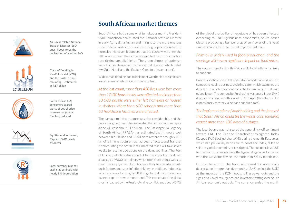

As Covid-related National State of Disaster (SoD) ends, floods force the declaration of another SoD



Costs of flooding in KwaZulu-Natal (KZN) and the Eastern Cape mounting – estimated at R17 billion



4%

South African (SA) consumers spared worst of petrol price increase, as general fuel levy reduced

Equities end in the red, Capped SWIX nearly 4% lower

Local currency plunges against greenback, with nearly 8% depreciation

# **South African market themes**

South Africans had a somewhat tumultuous month: President Cyril Ramaphosa finally lifted the National State of Disaster in early April, signalling an end in sight to the more onerous Covid-related restrictions and restoring hopes of a return to normalcy. However, it appears that the country will enter the fifth wave sooner than initially expected, with the infection rate ticking steadily higher. The green shoots of optimism were further dampened by the natural disaster which befell KwaZulu-Natal (and the Eastern Cape to a lesser extent).

Widespread flooding due to inclement weather led to significant losses, some of which are still being tallied.

# *At the last count, more than 430 lives were lost, more than 17400 households were affected and more than 13 000 people were either left homeless or housed in shelters. More than 600 schools and more than 60 healthcare facilities were affected.*

The damage to infrastructure was also considerable, and the provincial government has estimated that infrastructure repair alone will cost about R17 billion. The Passenger Rail Agency of South Africa (PRASA) has estimated that it would cost between R2.8 billion and R3 billion to restore the roughly 300 km of rail infrastructure that had been affected, and Transnet is still counting the cost but has indicated that it will take seven weeks to resume operations on the damaged lines. The Port of Durban, which is also a conduit for the import of food, had a backlog of 9000 containers which took more than a week to clear. The supply-chain disruptions are likely to exacerbate costpush factors and spur inflation higher. In addition, Indonesia, which accounts for roughly 58 % of global palm oil production, banned exports toward month-end. This exacerbates the global shortfall caused by the Russia-Ukraine conflict, and about 45.7%

of the global availability of vegetable oil has been affected. According to FNB Agribusiness economists, South Africa (despite producing a bumper crop of sunflower oil this year) simply cannot substitute the net imported palm oil.

### *Palm oil is widely used in food production, and the shortage will have a significant impact on food prices.*

The upward trend in South Africa and global inflation is likely to continue.

Business sentiment was left understandably depressed, and the composite leading business cycle indicator, which examines the direction in which real economic activity is moving in real time, edged lower. The composite Purchasing Managers' Index (PMI) dropped to a four-month low of 50.3 in April (therefore still in expansionary territory, albeit at a subdued rate).

# *The implementation of loadshedding and the forecast that South Africa could (in the worst case scenario) expect more than 100 days of outages.*

The local bourse was not spared the general risk-off sentiment toward EM. The Capped Shareholder Weighted Index (Capped SWIX) lost just short of 4% during the month. Resources, which had previously been able to boost the index, failed to shine as global commodity prices dipped. The subindex lost 4.8% for the month. Financials were the biggest drag on performance, with the subsector having lost more than 6% by month-end.

During the month, the Rand witnessed its worst daily depreciation in more than five months (-2.4% against the USD) as the impact of the KZN floods, rolling power-cuts and the signs of a Covid resurgence had investors fretting over South Africa's economic outlook. The currency ended the month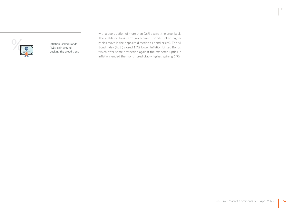

Inflation Linked Bonds bucking the broad trend with a depreciation of more than 7.6% against the greenback. The yields on long-term government bonds ticked higher (yields move in the opposite direction as bond prices). The All Bond Index (ALBI) closed 1.7% lower. Inflation Linked Bonds, which offer some protection against the expected uptick in inflation, ended the month predictably higher, gaining 1.9%.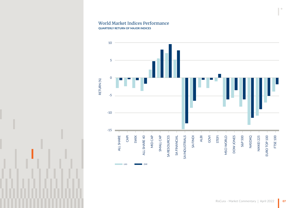#### World Market Indices Performance **QUARTERLY RETURN OF MAJOR INDICES**



 $\blacksquare$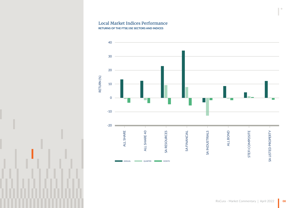#### Local Market Indices Performance **RETURNS OF THE FTSE/JSE SECTORS AND INDICES**



 $\blacksquare$